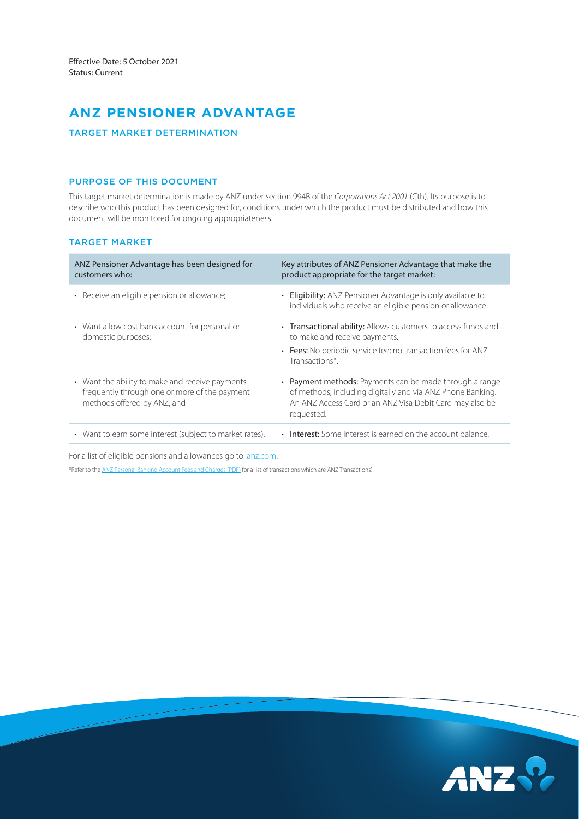# **ANZ PENSIONER ADVANTAGE**

# TARGET MARKET DETERMINATION

# PURPOSE OF THIS DOCUMENT

This target market determination is made by ANZ under section 994B of the *Corporations Act 2001* (Cth). Its purpose is to describe who this product has been designed for, conditions under which the product must be distributed and how this document will be monitored for ongoing appropriateness.

# TARGET MARKET

| ANZ Pensioner Advantage has been designed for<br>customers who:                                                                 | Key attributes of ANZ Pensioner Advantage that make the<br>product appropriate for the target market:                                                                                           |
|---------------------------------------------------------------------------------------------------------------------------------|-------------------------------------------------------------------------------------------------------------------------------------------------------------------------------------------------|
| • Receive an eligible pension or allowance;                                                                                     | • Eligibility: ANZ Pensioner Advantage is only available to<br>individuals who receive an eligible pension or allowance.                                                                        |
| • Want a low cost bank account for personal or<br>domestic purposes;                                                            | • Transactional ability: Allows customers to access funds and<br>to make and receive payments.<br>• Fees: No periodic service fee; no transaction fees for ANZ<br>Transactions*.                |
| • Want the ability to make and receive payments<br>frequently through one or more of the payment<br>methods offered by ANZ; and | • Payment methods: Payments can be made through a range<br>of methods, including digitally and via ANZ Phone Banking.<br>An ANZ Access Card or an ANZ Visa Debit Card may also be<br>requested. |
| • Want to earn some interest (subject to market rates).                                                                         | • Interest: Some interest is earned on the account balance.                                                                                                                                     |

For a list of eligible pensions and allowances go to: [anz.com](https://www.anz.com.au/personal/bank-accounts/everyday-accounts/pensioner-advantage/).

\*Refer to the [ANZ Personal Banking Account Fees and Charges \(PDF\)](https://www.anz.com.au/content/dam/anzcomau/documents/pdf/personal-account-fees-charges.pdf) for a list of transactions which are 'ANZ Transactions'.

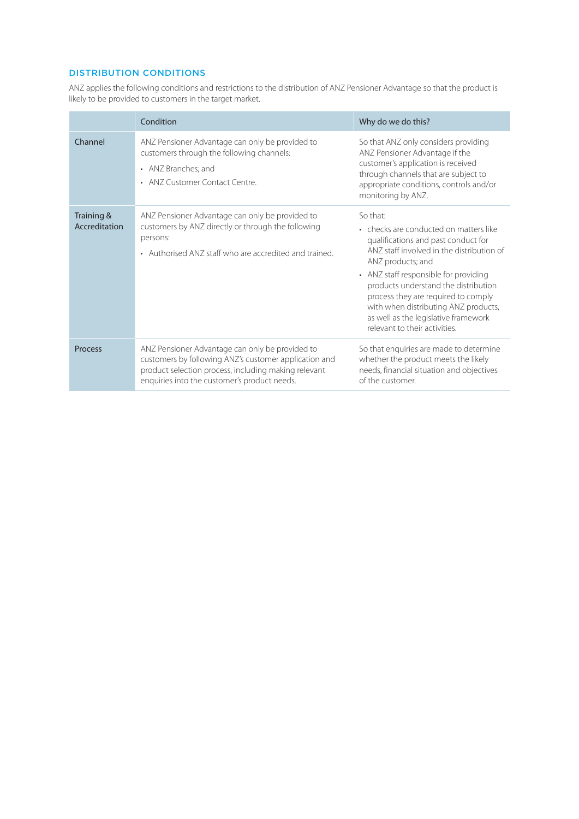# DISTRIBUTION CONDITIONS

ANZ applies the following conditions and restrictions to the distribution of ANZ Pensioner Advantage so that the product is likely to be provided to customers in the target market.

|                             | Condition                                                                                                                                                                                                        | Why do we do this?                                                                                                                                                                                                                                                                                                                                                                                   |
|-----------------------------|------------------------------------------------------------------------------------------------------------------------------------------------------------------------------------------------------------------|------------------------------------------------------------------------------------------------------------------------------------------------------------------------------------------------------------------------------------------------------------------------------------------------------------------------------------------------------------------------------------------------------|
| Channel                     | ANZ Pensioner Advantage can only be provided to<br>customers through the following channels:<br>• ANZ Branches; and<br>• ANZ Customer Contact Centre.                                                            | So that ANZ only considers providing<br>ANZ Pensioner Advantage if the<br>customer's application is received<br>through channels that are subject to<br>appropriate conditions, controls and/or<br>monitoring by ANZ.                                                                                                                                                                                |
| Training &<br>Accreditation | ANZ Pensioner Advantage can only be provided to<br>customers by ANZ directly or through the following<br>persons:<br>• Authorised ANZ staff who are accredited and trained.                                      | So that:<br>• checks are conducted on matters like<br>qualifications and past conduct for<br>ANZ staff involved in the distribution of<br>ANZ products; and<br>• ANZ staff responsible for providing<br>products understand the distribution<br>process they are required to comply<br>with when distributing ANZ products,<br>as well as the legislative framework<br>relevant to their activities. |
| Process                     | ANZ Pensioner Advantage can only be provided to<br>customers by following ANZ's customer application and<br>product selection process, including making relevant<br>enquiries into the customer's product needs. | So that enquiries are made to determine<br>whether the product meets the likely<br>needs, financial situation and objectives<br>of the customer.                                                                                                                                                                                                                                                     |